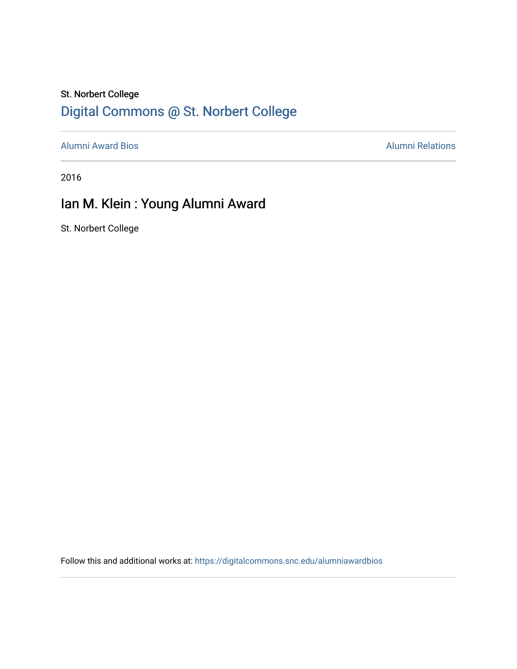### St. Norbert College [Digital Commons @ St. Norbert College](https://digitalcommons.snc.edu/)

[Alumni Award Bios](https://digitalcommons.snc.edu/alumniawardbios) **Alumni Relations** Alumni Relations

2016

## Ian M. Klein : Young Alumni Award

St. Norbert College

Follow this and additional works at: [https://digitalcommons.snc.edu/alumniawardbios](https://digitalcommons.snc.edu/alumniawardbios?utm_source=digitalcommons.snc.edu%2Falumniawardbios%2F78&utm_medium=PDF&utm_campaign=PDFCoverPages)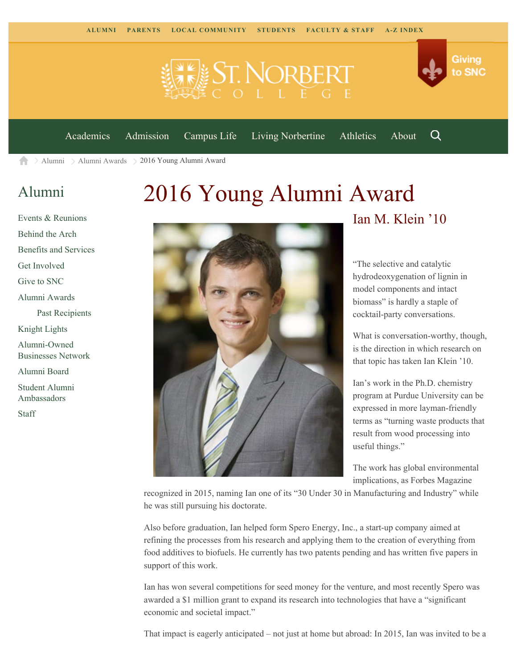

[Academics](https://www.snc.edu/academics) [Admission](https://www.snc.edu/admission) [Campus Life](https://www.snc.edu/campuslife) [Living Norbertine](https://www.snc.edu/livingnorbertine) [Athletics](https://www.snc.edu/athletics) [About](https://www.snc.edu/about)

Q

Giving

to SNC

 $\geq$  [Alumni](https://www.snc.edu/alumni/)  $\geq$  [Alumni Awards](https://www.snc.edu/alumni/awards/)  $\geq$  2016 Young Alumni Award A

#### [Alumni](https://www.snc.edu/alumni/index.html)

[Events & Reunions](https://www.snc.edu/alumni/event/index.html) [Behind the Arch](https://www.snc.edu/alumni/event/behindthearch/) [Benefits and Services](https://www.snc.edu/alumni/benefits.html) [Get Involved](https://www.snc.edu/alumni/getinvolved.html) [Give to SNC](http://giving.snc.edu/) [Alumni Awards](https://www.snc.edu/alumni/awards/index.html) [Past Recipients](https://www.snc.edu/alumni/awards/recipients.html) [Knight Lights](https://www.snc.edu/alumni/knightlights/index.html) [Alumni-Owned](https://www.snc.edu/alumni/directory/index.html) [Businesses Network](https://www.snc.edu/alumni/directory/index.html) [Alumni Board](https://www.snc.edu/alumni/alumniboard.html) [Student Alumni](https://www.snc.edu/alumni/saa.html) [Ambassadors](https://www.snc.edu/alumni/saa.html) [Staff](https://www.snc.edu/alumni/contactus.html)

# 2016 Young Alumni Award



#### Ian M. Klein '10

"The selective and catalytic hydrodeoxygenation of lignin in model components and intact biomass" is hardly a staple of cocktail-party conversations.

What is conversation-worthy, though, is the direction in which research on that topic has taken Ian Klein '10.

Ian's work in the Ph.D. chemistry program at Purdue University can be expressed in more layman-friendly terms as "turning waste products that result from wood processing into useful things."

The work has global environmental implications, as Forbes Magazine

recognized in 2015, naming Ian one of its "30 Under 30 in Manufacturing and Industry" while he was still pursuing his doctorate.

Also before graduation, Ian helped form Spero Energy, Inc., a start-up company aimed at refining the processes from his research and applying them to the creation of everything from food additives to biofuels. He currently has two patents pending and has written five papers in support of this work.

Ian has won several competitions for seed money for the venture, and most recently Spero was awarded a \$1 million grant to expand its research into technologies that have a "significant economic and societal impact."

That impact is eagerly anticipated – not just at home but abroad: In 2015, Ian was invited to be a